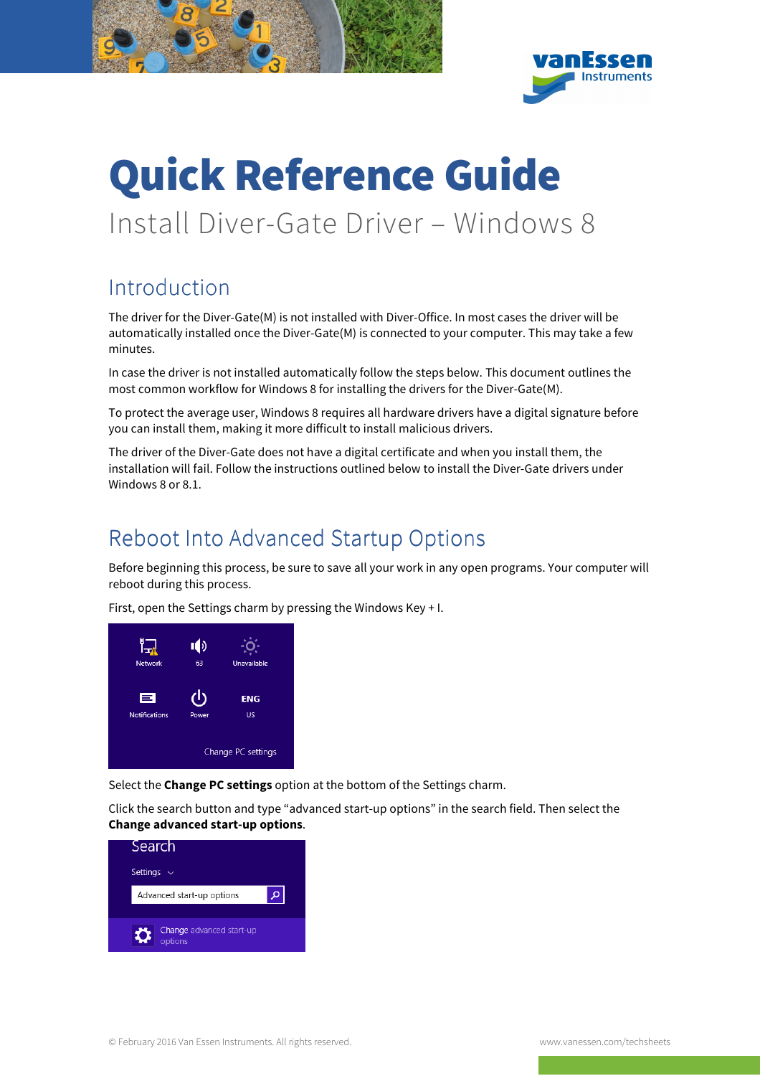

# Quick Reference Guide Install Diver-Gate Driver – Windows 8

### Introduction

The driver for the Diver-Gate(M) is not installed with Diver-Office. In most cases the driver will be automatically installed once the Diver-Gate(M) is connected to your computer. This may take a few minutes.

In case the driver is not installed automatically follow the steps below. This document outlines the most common workflow for Windows 8 for installing the drivers for the Diver-Gate(M).

To protect the average user, Windows 8 requires all hardware drivers have a digital signature before you can install them, making it more difficult to install malicious drivers.

The driver of the Diver-Gate does not have a digital certificate and when you install them, the installation will fail. Follow the instructions outlined below to install the Diver-Gate drivers under Windows 8 or 8.1.

#### Reboot Into Advanced Startup Options

Before beginning this process, be sure to save all your work in any open programs. Your computer will reboot during this process.

First, open the Settings charm by pressing the Windows Key + I.



Select the **Change PC settings** option at the bottom of the Settings charm.

Click the search button and type "advanced start-up options" in the search field. Then select the **Change advanced start-up options**.

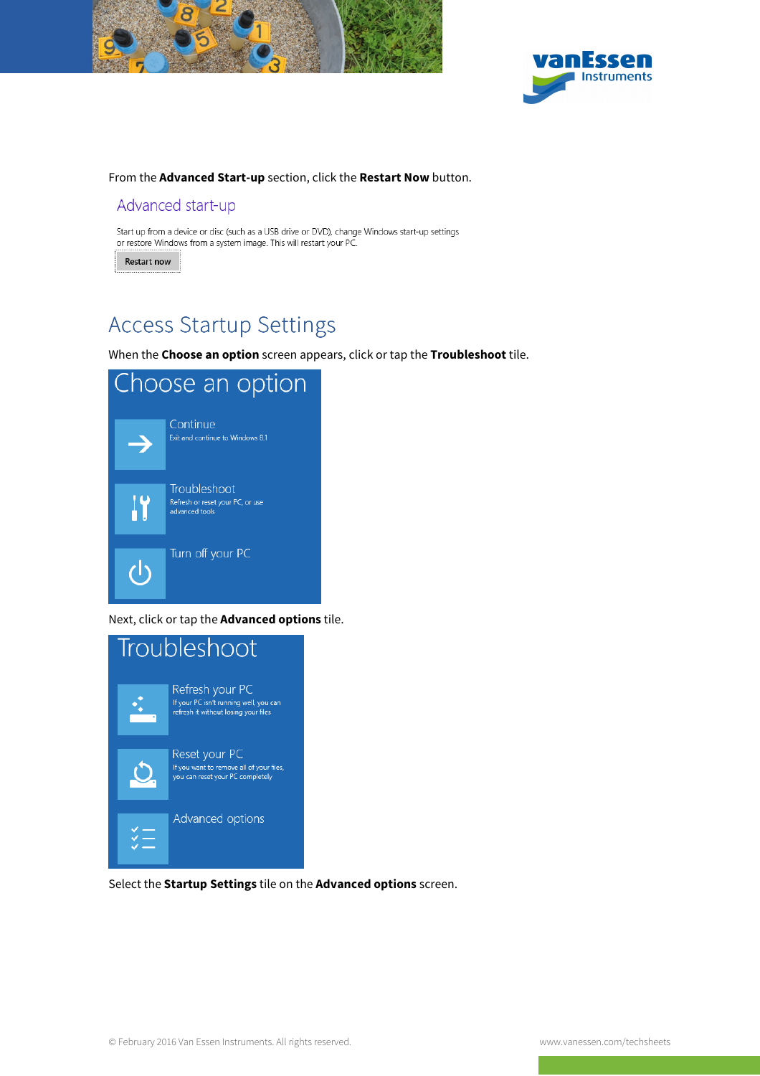



#### From the **Advanced Start-up** section, click the **Restart Now** button.

#### Advanced start-up

Start up from a device or disc (such as a USB drive or DVD), change Windows start-up settings or restore Windows from a system image. This will restart your PC.

Restart now

### Access Startup Settings

When the **Choose an option** screen appears, click or tap the **Troubleshoot** tile.



#### Next, click or tap the **Advanced options** tile.



Select the **Startup Settings** tile on the **Advanced options** screen.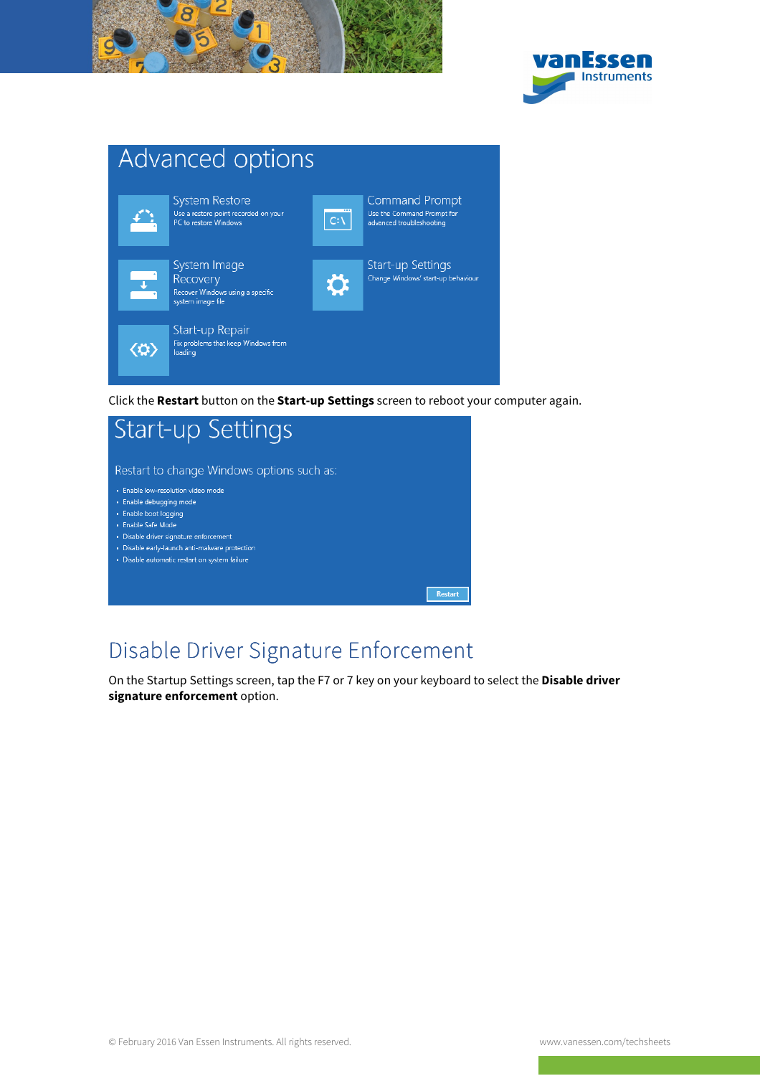





Click the **Restart** button on the **Start-up Settings** screen to reboot your computer again.



## Disable Driver Signature Enforcement

On the Startup Settings screen, tap the F7 or 7 key on your keyboard to select the **Disable driver signature enforcement** option.